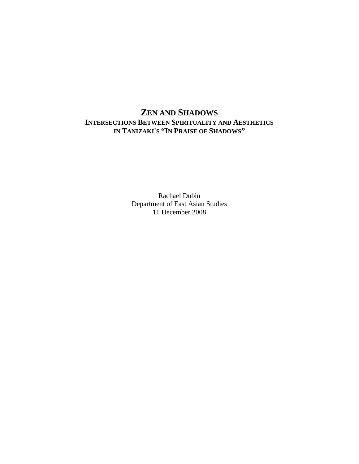# **ZEN AND SHADOWS INTERSECTIONS BETWEEN SPIRITUALITY AND AESTHETICS IN TANIZAKI'S "IN PRAISE OF SHADOWS"**

Rachael Dubin Department of East Asian Studies 11 December 2008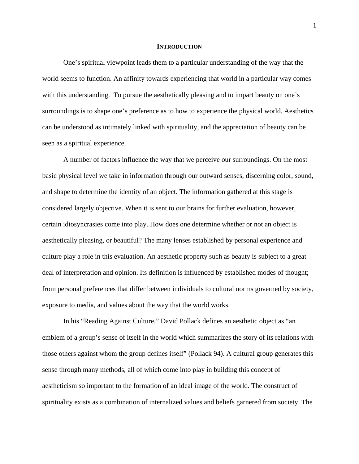#### **INTRODUCTION**

One's spiritual viewpoint leads them to a particular understanding of the way that the world seems to function. An affinity towards experiencing that world in a particular way comes with this understanding. To pursue the aesthetically pleasing and to impart beauty on one's surroundings is to shape one's preference as to how to experience the physical world. Aesthetics can be understood as intimately linked with spirituality, and the appreciation of beauty can be seen as a spiritual experience.

A number of factors influence the way that we perceive our surroundings. On the most basic physical level we take in information through our outward senses, discerning color, sound, and shape to determine the identity of an object. The information gathered at this stage is considered largely objective. When it is sent to our brains for further evaluation, however, certain idiosyncrasies come into play. How does one determine whether or not an object is aesthetically pleasing, or beautiful? The many lenses established by personal experience and culture play a role in this evaluation. An aesthetic property such as beauty is subject to a great deal of interpretation and opinion. Its definition is influenced by established modes of thought; from personal preferences that differ between individuals to cultural norms governed by society, exposure to media, and values about the way that the world works.

In his "Reading Against Culture," David Pollack defines an aesthetic object as "an emblem of a group's sense of itself in the world which summarizes the story of its relations with those others against whom the group defines itself" (Pollack 94). A cultural group generates this sense through many methods, all of which come into play in building this concept of aestheticism so important to the formation of an ideal image of the world. The construct of spirituality exists as a combination of internalized values and beliefs garnered from society. The

1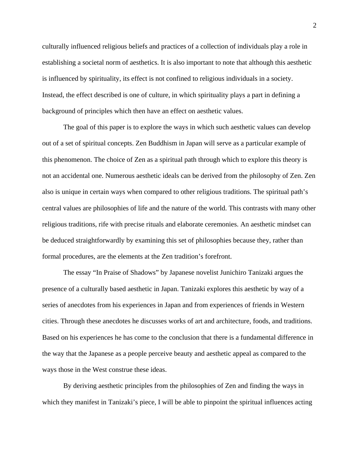culturally influenced religious beliefs and practices of a collection of individuals play a role in establishing a societal norm of aesthetics. It is also important to note that although this aesthetic is influenced by spirituality, its effect is not confined to religious individuals in a society. Instead, the effect described is one of culture, in which spirituality plays a part in defining a background of principles which then have an effect on aesthetic values.

The goal of this paper is to explore the ways in which such aesthetic values can develop out of a set of spiritual concepts. Zen Buddhism in Japan will serve as a particular example of this phenomenon. The choice of Zen as a spiritual path through which to explore this theory is not an accidental one. Numerous aesthetic ideals can be derived from the philosophy of Zen. Zen also is unique in certain ways when compared to other religious traditions. The spiritual path's central values are philosophies of life and the nature of the world. This contrasts with many other religious traditions, rife with precise rituals and elaborate ceremonies. An aesthetic mindset can be deduced straightforwardly by examining this set of philosophies because they, rather than formal procedures, are the elements at the Zen tradition's forefront.

The essay "In Praise of Shadows" by Japanese novelist Junichiro Tanizaki argues the presence of a culturally based aesthetic in Japan. Tanizaki explores this aesthetic by way of a series of anecdotes from his experiences in Japan and from experiences of friends in Western cities. Through these anecdotes he discusses works of art and architecture, foods, and traditions. Based on his experiences he has come to the conclusion that there is a fundamental difference in the way that the Japanese as a people perceive beauty and aesthetic appeal as compared to the ways those in the West construe these ideas.

By deriving aesthetic principles from the philosophies of Zen and finding the ways in which they manifest in Tanizaki's piece, I will be able to pinpoint the spiritual influences acting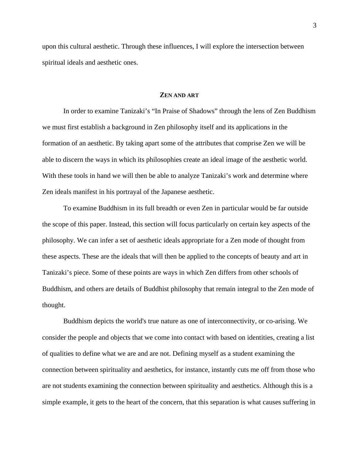upon this cultural aesthetic. Through these influences, I will explore the intersection between spiritual ideals and aesthetic ones.

## **ZEN AND ART**

In order to examine Tanizaki's "In Praise of Shadows" through the lens of Zen Buddhism we must first establish a background in Zen philosophy itself and its applications in the formation of an aesthetic. By taking apart some of the attributes that comprise Zen we will be able to discern the ways in which its philosophies create an ideal image of the aesthetic world. With these tools in hand we will then be able to analyze Tanizaki's work and determine where Zen ideals manifest in his portrayal of the Japanese aesthetic.

To examine Buddhism in its full breadth or even Zen in particular would be far outside the scope of this paper. Instead, this section will focus particularly on certain key aspects of the philosophy. We can infer a set of aesthetic ideals appropriate for a Zen mode of thought from these aspects. These are the ideals that will then be applied to the concepts of beauty and art in Tanizaki's piece. Some of these points are ways in which Zen differs from other schools of Buddhism, and others are details of Buddhist philosophy that remain integral to the Zen mode of thought.

Buddhism depicts the world's true nature as one of interconnectivity, or co-arising. We consider the people and objects that we come into contact with based on identities, creating a list of qualities to define what we are and are not. Defining myself as a student examining the connection between spirituality and aesthetics, for instance, instantly cuts me off from those who are not students examining the connection between spirituality and aesthetics. Although this is a simple example, it gets to the heart of the concern, that this separation is what causes suffering in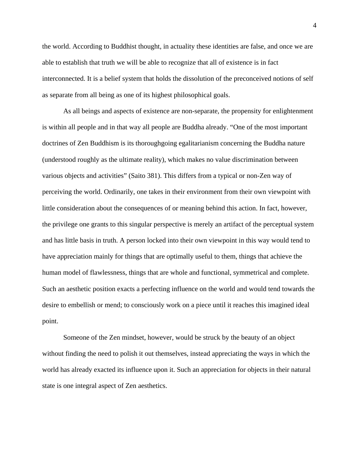the world. According to Buddhist thought, in actuality these identities are false, and once we are able to establish that truth we will be able to recognize that all of existence is in fact interconnected. It is a belief system that holds the dissolution of the preconceived notions of self as separate from all being as one of its highest philosophical goals.

As all beings and aspects of existence are non-separate, the propensity for enlightenment is within all people and in that way all people are Buddha already. "One of the most important doctrines of Zen Buddhism is its thoroughgoing egalitarianism concerning the Buddha nature (understood roughly as the ultimate reality), which makes no value discrimination between various objects and activities" (Saito 381). This differs from a typical or non-Zen way of perceiving the world. Ordinarily, one takes in their environment from their own viewpoint with little consideration about the consequences of or meaning behind this action. In fact, however, the privilege one grants to this singular perspective is merely an artifact of the perceptual system and has little basis in truth. A person locked into their own viewpoint in this way would tend to have appreciation mainly for things that are optimally useful to them, things that achieve the human model of flawlessness, things that are whole and functional, symmetrical and complete. Such an aesthetic position exacts a perfecting influence on the world and would tend towards the desire to embellish or mend; to consciously work on a piece until it reaches this imagined ideal point.

Someone of the Zen mindset, however, would be struck by the beauty of an object without finding the need to polish it out themselves, instead appreciating the ways in which the world has already exacted its influence upon it. Such an appreciation for objects in their natural state is one integral aspect of Zen aesthetics.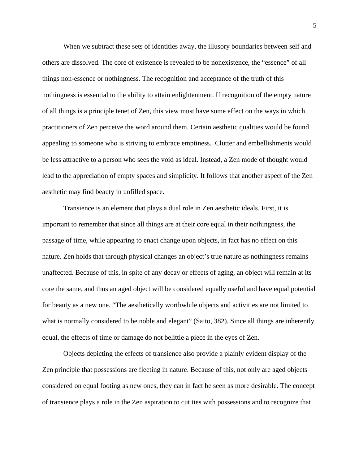When we subtract these sets of identities away, the illusory boundaries between self and others are dissolved. The core of existence is revealed to be nonexistence, the "essence" of all things non-essence or nothingness. The recognition and acceptance of the truth of this nothingness is essential to the ability to attain enlightenment. If recognition of the empty nature of all things is a principle tenet of Zen, this view must have some effect on the ways in which practitioners of Zen perceive the word around them. Certain aesthetic qualities would be found appealing to someone who is striving to embrace emptiness. Clutter and embellishments would be less attractive to a person who sees the void as ideal. Instead, a Zen mode of thought would lead to the appreciation of empty spaces and simplicity. It follows that another aspect of the Zen aesthetic may find beauty in unfilled space.

Transience is an element that plays a dual role in Zen aesthetic ideals. First, it is important to remember that since all things are at their core equal in their nothingness, the passage of time, while appearing to enact change upon objects, in fact has no effect on this nature. Zen holds that through physical changes an object's true nature as nothingness remains unaffected. Because of this, in spite of any decay or effects of aging, an object will remain at its core the same, and thus an aged object will be considered equally useful and have equal potential for beauty as a new one. "The aesthetically worthwhile objects and activities are not limited to what is normally considered to be noble and elegant" (Saito, 382). Since all things are inherently equal, the effects of time or damage do not belittle a piece in the eyes of Zen.

Objects depicting the effects of transience also provide a plainly evident display of the Zen principle that possessions are fleeting in nature. Because of this, not only are aged objects considered on equal footing as new ones, they can in fact be seen as more desirable. The concept of transience plays a role in the Zen aspiration to cut ties with possessions and to recognize that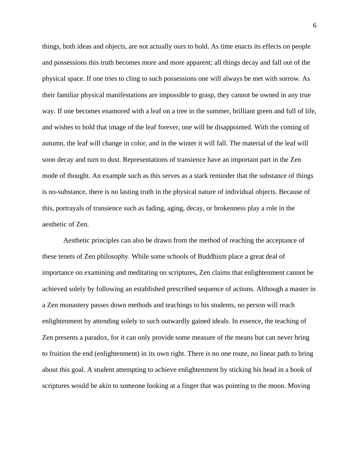things, both ideas and objects, are not actually ours to hold. As time enacts its effects on people and possessions this truth becomes more and more apparent; all things decay and fall out of the physical space. If one tries to cling to such possessions one will always be met with sorrow. As their familiar physical manifestations are impossible to grasp, they cannot be owned in any true way. If one becomes enamored with a leaf on a tree in the summer, brilliant green and full of life, and wishes to hold that image of the leaf forever, one will be disappointed. With the coming of autumn, the leaf will change in color, and in the winter it will fall. The material of the leaf will soon decay and turn to dust. Representations of transience have an important part in the Zen mode of thought. An example such as this serves as a stark reminder that the substance of things is no-substance, there is no lasting truth in the physical nature of individual objects. Because of this, portrayals of transience such as fading, aging, decay, or brokenness play a role in the aesthetic of Zen.

Aesthetic principles can also be drawn from the method of reaching the acceptance of these tenets of Zen philosophy. While some schools of Buddhism place a great deal of importance on examining and meditating on scriptures, Zen claims that enlightenment cannot be achieved solely by following an established prescribed sequence of actions. Although a master in a Zen monastery passes down methods and teachings to his students, no person will reach enlightenment by attending solely to such outwardly gained ideals. In essence, the teaching of Zen presents a paradox, for it can only provide some measure of the means but can never bring to fruition the end (enlightenment) in its own right. There is no one route, no linear path to bring about this goal. A student attempting to achieve enlightenment by sticking his head in a book of scriptures would be akin to someone looking at a finger that was pointing to the moon. Moving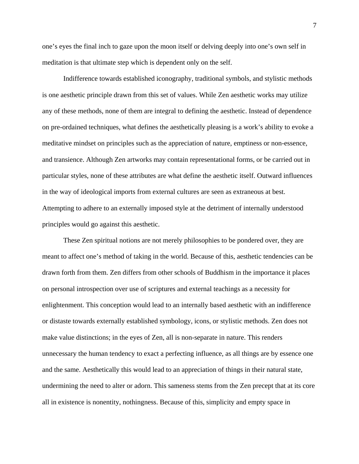one's eyes the final inch to gaze upon the moon itself or delving deeply into one's own self in meditation is that ultimate step which is dependent only on the self.

Indifference towards established iconography, traditional symbols, and stylistic methods is one aesthetic principle drawn from this set of values. While Zen aesthetic works may utilize any of these methods, none of them are integral to defining the aesthetic. Instead of dependence on pre-ordained techniques, what defines the aesthetically pleasing is a work's ability to evoke a meditative mindset on principles such as the appreciation of nature, emptiness or non-essence, and transience. Although Zen artworks may contain representational forms, or be carried out in particular styles, none of these attributes are what define the aesthetic itself. Outward influences in the way of ideological imports from external cultures are seen as extraneous at best. Attempting to adhere to an externally imposed style at the detriment of internally understood principles would go against this aesthetic.

These Zen spiritual notions are not merely philosophies to be pondered over, they are meant to affect one's method of taking in the world. Because of this, aesthetic tendencies can be drawn forth from them. Zen differs from other schools of Buddhism in the importance it places on personal introspection over use of scriptures and external teachings as a necessity for enlightenment. This conception would lead to an internally based aesthetic with an indifference or distaste towards externally established symbology, icons, or stylistic methods. Zen does not make value distinctions; in the eyes of Zen, all is non-separate in nature. This renders unnecessary the human tendency to exact a perfecting influence, as all things are by essence one and the same. Aesthetically this would lead to an appreciation of things in their natural state, undermining the need to alter or adorn. This sameness stems from the Zen precept that at its core all in existence is nonentity, nothingness. Because of this, simplicity and empty space in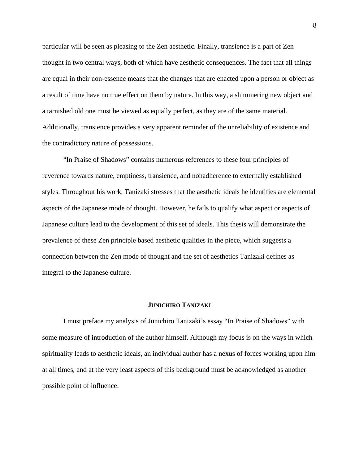particular will be seen as pleasing to the Zen aesthetic. Finally, transience is a part of Zen thought in two central ways, both of which have aesthetic consequences. The fact that all things are equal in their non-essence means that the changes that are enacted upon a person or object as a result of time have no true effect on them by nature. In this way, a shimmering new object and a tarnished old one must be viewed as equally perfect, as they are of the same material. Additionally, transience provides a very apparent reminder of the unreliability of existence and the contradictory nature of possessions.

"In Praise of Shadows" contains numerous references to these four principles of reverence towards nature, emptiness, transience, and nonadherence to externally established styles. Throughout his work, Tanizaki stresses that the aesthetic ideals he identifies are elemental aspects of the Japanese mode of thought. However, he fails to qualify what aspect or aspects of Japanese culture lead to the development of this set of ideals. This thesis will demonstrate the prevalence of these Zen principle based aesthetic qualities in the piece, which suggests a connection between the Zen mode of thought and the set of aesthetics Tanizaki defines as integral to the Japanese culture.

## **JUNICHIRO TANIZAKI**

I must preface my analysis of Junichiro Tanizaki's essay "In Praise of Shadows" with some measure of introduction of the author himself. Although my focus is on the ways in which spirituality leads to aesthetic ideals, an individual author has a nexus of forces working upon him at all times, and at the very least aspects of this background must be acknowledged as another possible point of influence.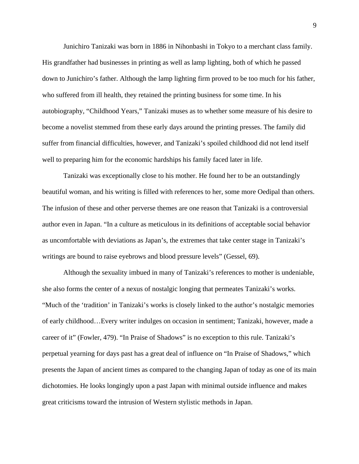Junichiro Tanizaki was born in 1886 in Nihonbashi in Tokyo to a merchant class family. His grandfather had businesses in printing as well as lamp lighting, both of which he passed down to Junichiro's father. Although the lamp lighting firm proved to be too much for his father, who suffered from ill health, they retained the printing business for some time. In his autobiography, "Childhood Years," Tanizaki muses as to whether some measure of his desire to become a novelist stemmed from these early days around the printing presses. The family did suffer from financial difficulties, however, and Tanizaki's spoiled childhood did not lend itself well to preparing him for the economic hardships his family faced later in life.

Tanizaki was exceptionally close to his mother. He found her to be an outstandingly beautiful woman, and his writing is filled with references to her, some more Oedipal than others. The infusion of these and other perverse themes are one reason that Tanizaki is a controversial author even in Japan. "In a culture as meticulous in its definitions of acceptable social behavior as uncomfortable with deviations as Japan's, the extremes that take center stage in Tanizaki's writings are bound to raise eyebrows and blood pressure levels" (Gessel, 69).

Although the sexuality imbued in many of Tanizaki's references to mother is undeniable, she also forms the center of a nexus of nostalgic longing that permeates Tanizaki's works. "Much of the 'tradition' in Tanizaki's works is closely linked to the author's nostalgic memories of early childhood…Every writer indulges on occasion in sentiment; Tanizaki, however, made a career of it" (Fowler, 479). "In Praise of Shadows" is no exception to this rule. Tanizaki's perpetual yearning for days past has a great deal of influence on "In Praise of Shadows," which presents the Japan of ancient times as compared to the changing Japan of today as one of its main dichotomies. He looks longingly upon a past Japan with minimal outside influence and makes great criticisms toward the intrusion of Western stylistic methods in Japan.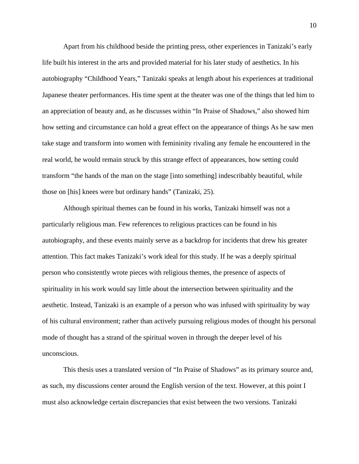Apart from his childhood beside the printing press, other experiences in Tanizaki's early life built his interest in the arts and provided material for his later study of aesthetics. In his autobiography "Childhood Years," Tanizaki speaks at length about his experiences at traditional Japanese theater performances. His time spent at the theater was one of the things that led him to an appreciation of beauty and, as he discusses within "In Praise of Shadows," also showed him how setting and circumstance can hold a great effect on the appearance of things As he saw men take stage and transform into women with femininity rivaling any female he encountered in the real world, he would remain struck by this strange effect of appearances, how setting could transform "the hands of the man on the stage [into something] indescribably beautiful, while those on [his] knees were but ordinary hands" (Tanizaki, 25).

Although spiritual themes can be found in his works, Tanizaki himself was not a particularly religious man. Few references to religious practices can be found in his autobiography, and these events mainly serve as a backdrop for incidents that drew his greater attention. This fact makes Tanizaki's work ideal for this study. If he was a deeply spiritual person who consistently wrote pieces with religious themes, the presence of aspects of spirituality in his work would say little about the intersection between spirituality and the aesthetic. Instead, Tanizaki is an example of a person who was infused with spirituality by way of his cultural environment; rather than actively pursuing religious modes of thought his personal mode of thought has a strand of the spiritual woven in through the deeper level of his unconscious.

This thesis uses a translated version of "In Praise of Shadows" as its primary source and, as such, my discussions center around the English version of the text. However, at this point I must also acknowledge certain discrepancies that exist between the two versions. Tanizaki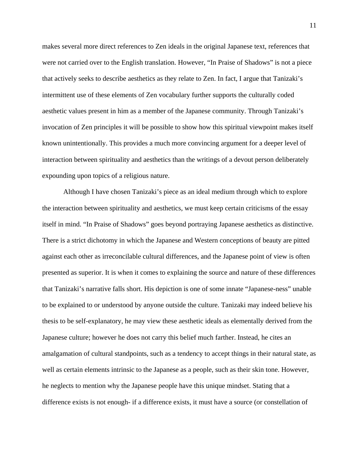makes several more direct references to Zen ideals in the original Japanese text, references that were not carried over to the English translation. However, "In Praise of Shadows" is not a piece that actively seeks to describe aesthetics as they relate to Zen. In fact, I argue that Tanizaki's intermittent use of these elements of Zen vocabulary further supports the culturally coded aesthetic values present in him as a member of the Japanese community. Through Tanizaki's invocation of Zen principles it will be possible to show how this spiritual viewpoint makes itself known unintentionally. This provides a much more convincing argument for a deeper level of interaction between spirituality and aesthetics than the writings of a devout person deliberately expounding upon topics of a religious nature.

Although I have chosen Tanizaki's piece as an ideal medium through which to explore the interaction between spirituality and aesthetics, we must keep certain criticisms of the essay itself in mind. "In Praise of Shadows" goes beyond portraying Japanese aesthetics as distinctive. There is a strict dichotomy in which the Japanese and Western conceptions of beauty are pitted against each other as irreconcilable cultural differences, and the Japanese point of view is often presented as superior. It is when it comes to explaining the source and nature of these differences that Tanizaki's narrative falls short. His depiction is one of some innate "Japanese-ness" unable to be explained to or understood by anyone outside the culture. Tanizaki may indeed believe his thesis to be self-explanatory, he may view these aesthetic ideals as elementally derived from the Japanese culture; however he does not carry this belief much farther. Instead, he cites an amalgamation of cultural standpoints, such as a tendency to accept things in their natural state, as well as certain elements intrinsic to the Japanese as a people, such as their skin tone. However, he neglects to mention why the Japanese people have this unique mindset. Stating that a difference exists is not enough- if a difference exists, it must have a source (or constellation of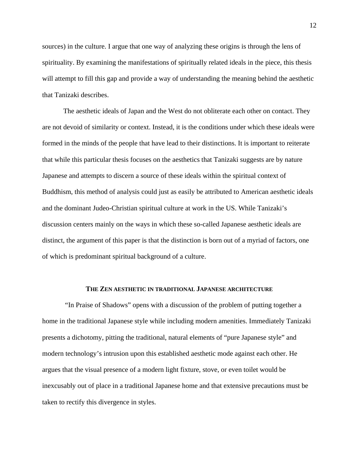sources) in the culture. I argue that one way of analyzing these origins is through the lens of spirituality. By examining the manifestations of spiritually related ideals in the piece, this thesis will attempt to fill this gap and provide a way of understanding the meaning behind the aesthetic that Tanizaki describes.

The aesthetic ideals of Japan and the West do not obliterate each other on contact. They are not devoid of similarity or context. Instead, it is the conditions under which these ideals were formed in the minds of the people that have lead to their distinctions. It is important to reiterate that while this particular thesis focuses on the aesthetics that Tanizaki suggests are by nature Japanese and attempts to discern a source of these ideals within the spiritual context of Buddhism, this method of analysis could just as easily be attributed to American aesthetic ideals and the dominant Judeo-Christian spiritual culture at work in the US. While Tanizaki's discussion centers mainly on the ways in which these so-called Japanese aesthetic ideals are distinct, the argument of this paper is that the distinction is born out of a myriad of factors, one of which is predominant spiritual background of a culture.

## **THE ZEN AESTHETIC IN TRADITIONAL JAPANESE ARCHITECTURE**

 "In Praise of Shadows" opens with a discussion of the problem of putting together a home in the traditional Japanese style while including modern amenities. Immediately Tanizaki presents a dichotomy, pitting the traditional, natural elements of "pure Japanese style" and modern technology's intrusion upon this established aesthetic mode against each other. He argues that the visual presence of a modern light fixture, stove, or even toilet would be inexcusably out of place in a traditional Japanese home and that extensive precautions must be taken to rectify this divergence in styles.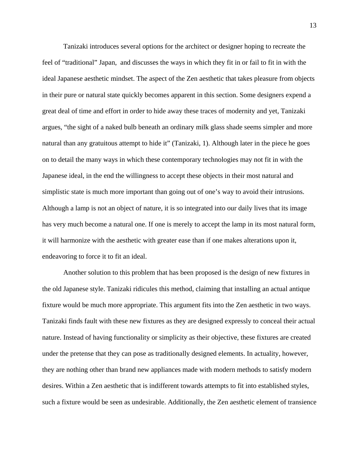Tanizaki introduces several options for the architect or designer hoping to recreate the feel of "traditional" Japan, and discusses the ways in which they fit in or fail to fit in with the ideal Japanese aesthetic mindset. The aspect of the Zen aesthetic that takes pleasure from objects in their pure or natural state quickly becomes apparent in this section. Some designers expend a great deal of time and effort in order to hide away these traces of modernity and yet, Tanizaki argues, "the sight of a naked bulb beneath an ordinary milk glass shade seems simpler and more natural than any gratuitous attempt to hide it" (Tanizaki, 1). Although later in the piece he goes on to detail the many ways in which these contemporary technologies may not fit in with the Japanese ideal, in the end the willingness to accept these objects in their most natural and simplistic state is much more important than going out of one's way to avoid their intrusions. Although a lamp is not an object of nature, it is so integrated into our daily lives that its image has very much become a natural one. If one is merely to accept the lamp in its most natural form, it will harmonize with the aesthetic with greater ease than if one makes alterations upon it, endeavoring to force it to fit an ideal.

Another solution to this problem that has been proposed is the design of new fixtures in the old Japanese style. Tanizaki ridicules this method, claiming that installing an actual antique fixture would be much more appropriate. This argument fits into the Zen aesthetic in two ways. Tanizaki finds fault with these new fixtures as they are designed expressly to conceal their actual nature. Instead of having functionality or simplicity as their objective, these fixtures are created under the pretense that they can pose as traditionally designed elements. In actuality, however, they are nothing other than brand new appliances made with modern methods to satisfy modern desires. Within a Zen aesthetic that is indifferent towards attempts to fit into established styles, such a fixture would be seen as undesirable. Additionally, the Zen aesthetic element of transience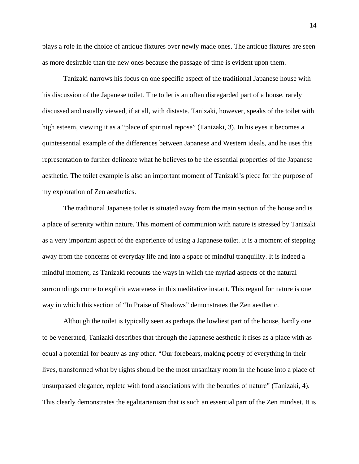plays a role in the choice of antique fixtures over newly made ones. The antique fixtures are seen as more desirable than the new ones because the passage of time is evident upon them.

Tanizaki narrows his focus on one specific aspect of the traditional Japanese house with his discussion of the Japanese toilet. The toilet is an often disregarded part of a house, rarely discussed and usually viewed, if at all, with distaste. Tanizaki, however, speaks of the toilet with high esteem, viewing it as a "place of spiritual repose" (Tanizaki, 3). In his eyes it becomes a quintessential example of the differences between Japanese and Western ideals, and he uses this representation to further delineate what he believes to be the essential properties of the Japanese aesthetic. The toilet example is also an important moment of Tanizaki's piece for the purpose of my exploration of Zen aesthetics.

The traditional Japanese toilet is situated away from the main section of the house and is a place of serenity within nature. This moment of communion with nature is stressed by Tanizaki as a very important aspect of the experience of using a Japanese toilet. It is a moment of stepping away from the concerns of everyday life and into a space of mindful tranquility. It is indeed a mindful moment, as Tanizaki recounts the ways in which the myriad aspects of the natural surroundings come to explicit awareness in this meditative instant. This regard for nature is one way in which this section of "In Praise of Shadows" demonstrates the Zen aesthetic.

Although the toilet is typically seen as perhaps the lowliest part of the house, hardly one to be venerated, Tanizaki describes that through the Japanese aesthetic it rises as a place with as equal a potential for beauty as any other. "Our forebears, making poetry of everything in their lives, transformed what by rights should be the most unsanitary room in the house into a place of unsurpassed elegance, replete with fond associations with the beauties of nature" (Tanizaki, 4). This clearly demonstrates the egalitarianism that is such an essential part of the Zen mindset. It is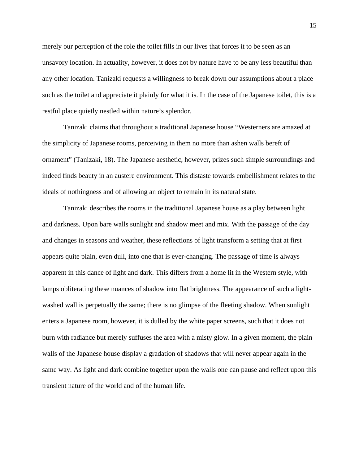merely our perception of the role the toilet fills in our lives that forces it to be seen as an unsavory location. In actuality, however, it does not by nature have to be any less beautiful than any other location. Tanizaki requests a willingness to break down our assumptions about a place such as the toilet and appreciate it plainly for what it is. In the case of the Japanese toilet, this is a restful place quietly nestled within nature's splendor.

Tanizaki claims that throughout a traditional Japanese house "Westerners are amazed at the simplicity of Japanese rooms, perceiving in them no more than ashen walls bereft of ornament" (Tanizaki, 18). The Japanese aesthetic, however, prizes such simple surroundings and indeed finds beauty in an austere environment. This distaste towards embellishment relates to the ideals of nothingness and of allowing an object to remain in its natural state.

Tanizaki describes the rooms in the traditional Japanese house as a play between light and darkness. Upon bare walls sunlight and shadow meet and mix. With the passage of the day and changes in seasons and weather, these reflections of light transform a setting that at first appears quite plain, even dull, into one that is ever-changing. The passage of time is always apparent in this dance of light and dark. This differs from a home lit in the Western style, with lamps obliterating these nuances of shadow into flat brightness. The appearance of such a lightwashed wall is perpetually the same; there is no glimpse of the fleeting shadow. When sunlight enters a Japanese room, however, it is dulled by the white paper screens, such that it does not burn with radiance but merely suffuses the area with a misty glow. In a given moment, the plain walls of the Japanese house display a gradation of shadows that will never appear again in the same way. As light and dark combine together upon the walls one can pause and reflect upon this transient nature of the world and of the human life.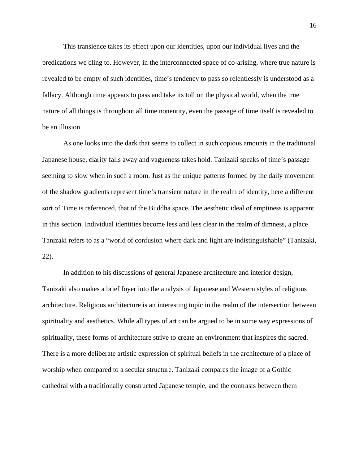This transience takes its effect upon our identities, upon our individual lives and the predications we cling to. However, in the interconnected space of co-arising, where true nature is revealed to be empty of such identities, time's tendency to pass so relentlessly is understood as a fallacy. Although time appears to pass and take its toll on the physical world, when the true nature of all things is throughout all time nonentity, even the passage of time itself is revealed to be an illusion.

As one looks into the dark that seems to collect in such copious amounts in the traditional Japanese house, clarity falls away and vagueness takes hold. Tanizaki speaks of time's passage seeming to slow when in such a room. Just as the unique patterns formed by the daily movement of the shadow gradients represent time's transient nature in the realm of identity, here a different sort of Time is referenced, that of the Buddha space. The aesthetic ideal of emptiness is apparent in this section. Individual identities become less and less clear in the realm of dimness, a place Tanizaki refers to as a "world of confusion where dark and light are indistinguishable" (Tanizaki, 22).

In addition to his discussions of general Japanese architecture and interior design, Tanizaki also makes a brief foyer into the analysis of Japanese and Western styles of religious architecture. Religious architecture is an interesting topic in the realm of the intersection between spirituality and aesthetics. While all types of art can be argued to be in some way expressions of spirituality, these forms of architecture strive to create an environment that inspires the sacred. There is a more deliberate artistic expression of spiritual beliefs in the architecture of a place of worship when compared to a secular structure. Tanizaki compares the image of a Gothic cathedral with a traditionally constructed Japanese temple, and the contrasts between them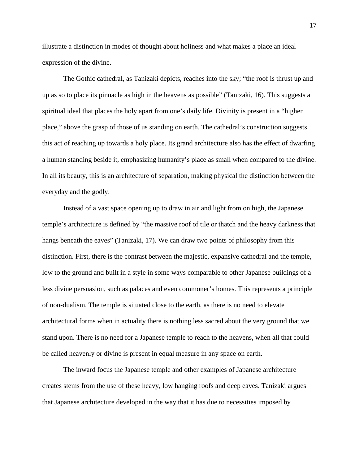illustrate a distinction in modes of thought about holiness and what makes a place an ideal expression of the divine.

The Gothic cathedral, as Tanizaki depicts, reaches into the sky; "the roof is thrust up and up as so to place its pinnacle as high in the heavens as possible" (Tanizaki, 16). This suggests a spiritual ideal that places the holy apart from one's daily life. Divinity is present in a "higher place," above the grasp of those of us standing on earth. The cathedral's construction suggests this act of reaching up towards a holy place. Its grand architecture also has the effect of dwarfing a human standing beside it, emphasizing humanity's place as small when compared to the divine. In all its beauty, this is an architecture of separation, making physical the distinction between the everyday and the godly.

Instead of a vast space opening up to draw in air and light from on high, the Japanese temple's architecture is defined by "the massive roof of tile or thatch and the heavy darkness that hangs beneath the eaves" (Tanizaki, 17). We can draw two points of philosophy from this distinction. First, there is the contrast between the majestic, expansive cathedral and the temple, low to the ground and built in a style in some ways comparable to other Japanese buildings of a less divine persuasion, such as palaces and even commoner's homes. This represents a principle of non-dualism. The temple is situated close to the earth, as there is no need to elevate architectural forms when in actuality there is nothing less sacred about the very ground that we stand upon. There is no need for a Japanese temple to reach to the heavens, when all that could be called heavenly or divine is present in equal measure in any space on earth.

The inward focus the Japanese temple and other examples of Japanese architecture creates stems from the use of these heavy, low hanging roofs and deep eaves. Tanizaki argues that Japanese architecture developed in the way that it has due to necessities imposed by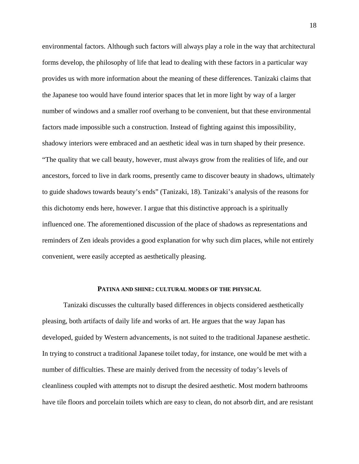environmental factors. Although such factors will always play a role in the way that architectural forms develop, the philosophy of life that lead to dealing with these factors in a particular way provides us with more information about the meaning of these differences. Tanizaki claims that the Japanese too would have found interior spaces that let in more light by way of a larger number of windows and a smaller roof overhang to be convenient, but that these environmental factors made impossible such a construction. Instead of fighting against this impossibility, shadowy interiors were embraced and an aesthetic ideal was in turn shaped by their presence. "The quality that we call beauty, however, must always grow from the realities of life, and our ancestors, forced to live in dark rooms, presently came to discover beauty in shadows, ultimately to guide shadows towards beauty's ends" (Tanizaki, 18). Tanizaki's analysis of the reasons for this dichotomy ends here, however. I argue that this distinctive approach is a spiritually influenced one. The aforementioned discussion of the place of shadows as representations and reminders of Zen ideals provides a good explanation for why such dim places, while not entirely convenient, were easily accepted as aesthetically pleasing.

#### **PATINA AND SHINE: CULTURAL MODES OF THE PHYSICAL**

Tanizaki discusses the culturally based differences in objects considered aesthetically pleasing, both artifacts of daily life and works of art. He argues that the way Japan has developed, guided by Western advancements, is not suited to the traditional Japanese aesthetic. In trying to construct a traditional Japanese toilet today, for instance, one would be met with a number of difficulties. These are mainly derived from the necessity of today's levels of cleanliness coupled with attempts not to disrupt the desired aesthetic. Most modern bathrooms have tile floors and porcelain toilets which are easy to clean, do not absorb dirt, and are resistant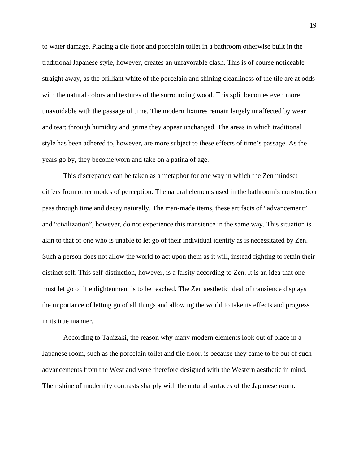to water damage. Placing a tile floor and porcelain toilet in a bathroom otherwise built in the traditional Japanese style, however, creates an unfavorable clash. This is of course noticeable straight away, as the brilliant white of the porcelain and shining cleanliness of the tile are at odds with the natural colors and textures of the surrounding wood. This split becomes even more unavoidable with the passage of time. The modern fixtures remain largely unaffected by wear and tear; through humidity and grime they appear unchanged. The areas in which traditional style has been adhered to, however, are more subject to these effects of time's passage. As the years go by, they become worn and take on a patina of age.

This discrepancy can be taken as a metaphor for one way in which the Zen mindset differs from other modes of perception. The natural elements used in the bathroom's construction pass through time and decay naturally. The man-made items, these artifacts of "advancement" and "civilization", however, do not experience this transience in the same way. This situation is akin to that of one who is unable to let go of their individual identity as is necessitated by Zen. Such a person does not allow the world to act upon them as it will, instead fighting to retain their distinct self. This self-distinction, however, is a falsity according to Zen. It is an idea that one must let go of if enlightenment is to be reached. The Zen aesthetic ideal of transience displays the importance of letting go of all things and allowing the world to take its effects and progress in its true manner.

According to Tanizaki, the reason why many modern elements look out of place in a Japanese room, such as the porcelain toilet and tile floor, is because they came to be out of such advancements from the West and were therefore designed with the Western aesthetic in mind. Their shine of modernity contrasts sharply with the natural surfaces of the Japanese room.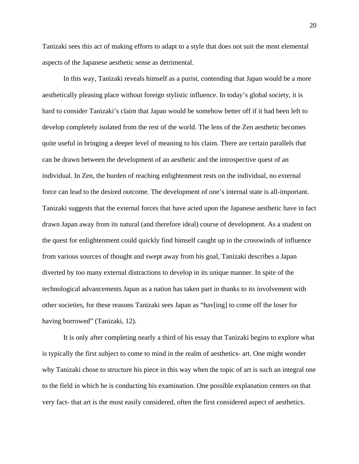Tanizaki sees this act of making efforts to adapt to a style that does not suit the most elemental aspects of the Japanese aesthetic sense as detrimental.

In this way, Tanizaki reveals himself as a purist, contending that Japan would be a more aesthetically pleasing place without foreign stylistic influence. In today's global society, it is hard to consider Tanizaki's claim that Japan would be somehow better off if it had been left to develop completely isolated from the rest of the world. The lens of the Zen aesthetic becomes quite useful in bringing a deeper level of meaning to his claim. There are certain parallels that can be drawn between the development of an aesthetic and the introspective quest of an individual. In Zen, the burden of reaching enlightenment rests on the individual, no external force can lead to the desired outcome. The development of one's internal state is all-important. Tanizaki suggests that the external forces that have acted upon the Japanese aesthetic have in fact drawn Japan away from its natural (and therefore ideal) course of development. As a student on the quest for enlightenment could quickly find himself caught up in the crosswinds of influence from various sources of thought and swept away from his goal, Tanizaki describes a Japan diverted by too many external distractions to develop in its unique manner. In spite of the technological advancements Japan as a nation has taken part in thanks to its involvement with other societies, for these reasons Tanizaki sees Japan as "hav[ing] to come off the loser for having borrowed" (Tanizaki, 12).

It is only after completing nearly a third of his essay that Tanizaki begins to explore what is typically the first subject to come to mind in the realm of aesthetics- art. One might wonder why Tanizaki chose to structure his piece in this way when the topic of art is such an integral one to the field in which he is conducting his examination. One possible explanation centers on that very fact- that art is the most easily considered, often the first considered aspect of aesthetics.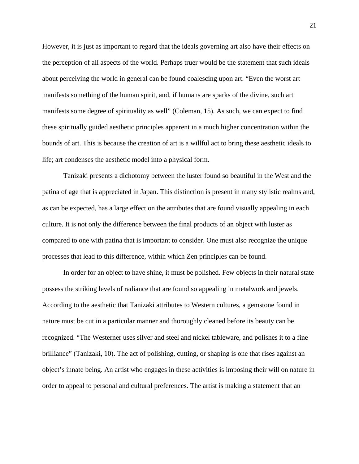However, it is just as important to regard that the ideals governing art also have their effects on the perception of all aspects of the world. Perhaps truer would be the statement that such ideals about perceiving the world in general can be found coalescing upon art. "Even the worst art manifests something of the human spirit, and, if humans are sparks of the divine, such art manifests some degree of spirituality as well" (Coleman, 15). As such, we can expect to find these spiritually guided aesthetic principles apparent in a much higher concentration within the bounds of art. This is because the creation of art is a willful act to bring these aesthetic ideals to life; art condenses the aesthetic model into a physical form.

 Tanizaki presents a dichotomy between the luster found so beautiful in the West and the patina of age that is appreciated in Japan. This distinction is present in many stylistic realms and, as can be expected, has a large effect on the attributes that are found visually appealing in each culture. It is not only the difference between the final products of an object with luster as compared to one with patina that is important to consider. One must also recognize the unique processes that lead to this difference, within which Zen principles can be found.

 In order for an object to have shine, it must be polished. Few objects in their natural state possess the striking levels of radiance that are found so appealing in metalwork and jewels. According to the aesthetic that Tanizaki attributes to Western cultures, a gemstone found in nature must be cut in a particular manner and thoroughly cleaned before its beauty can be recognized. "The Westerner uses silver and steel and nickel tableware, and polishes it to a fine brilliance" (Tanizaki, 10). The act of polishing, cutting, or shaping is one that rises against an object's innate being. An artist who engages in these activities is imposing their will on nature in order to appeal to personal and cultural preferences. The artist is making a statement that an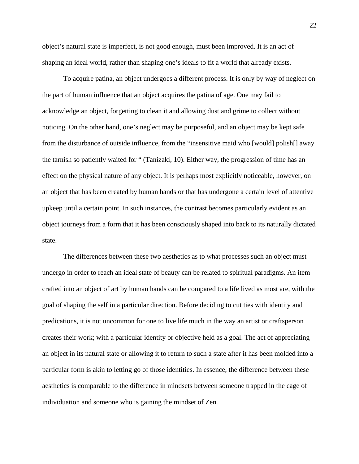object's natural state is imperfect, is not good enough, must been improved. It is an act of shaping an ideal world, rather than shaping one's ideals to fit a world that already exists.

 To acquire patina, an object undergoes a different process. It is only by way of neglect on the part of human influence that an object acquires the patina of age. One may fail to acknowledge an object, forgetting to clean it and allowing dust and grime to collect without noticing. On the other hand, one's neglect may be purposeful, and an object may be kept safe from the disturbance of outside influence, from the "insensitive maid who [would] polish[] away the tarnish so patiently waited for " (Tanizaki, 10). Either way, the progression of time has an effect on the physical nature of any object. It is perhaps most explicitly noticeable, however, on an object that has been created by human hands or that has undergone a certain level of attentive upkeep until a certain point. In such instances, the contrast becomes particularly evident as an object journeys from a form that it has been consciously shaped into back to its naturally dictated state.

 The differences between these two aesthetics as to what processes such an object must undergo in order to reach an ideal state of beauty can be related to spiritual paradigms. An item crafted into an object of art by human hands can be compared to a life lived as most are, with the goal of shaping the self in a particular direction. Before deciding to cut ties with identity and predications, it is not uncommon for one to live life much in the way an artist or craftsperson creates their work; with a particular identity or objective held as a goal. The act of appreciating an object in its natural state or allowing it to return to such a state after it has been molded into a particular form is akin to letting go of those identities. In essence, the difference between these aesthetics is comparable to the difference in mindsets between someone trapped in the cage of individuation and someone who is gaining the mindset of Zen.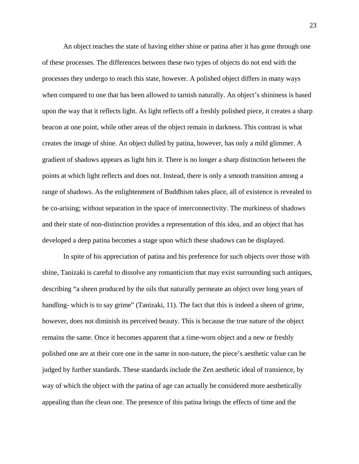An object reaches the state of having either shine or patina after it has gone through one of these processes. The differences between these two types of objects do not end with the processes they undergo to reach this state, however. A polished object differs in many ways when compared to one that has been allowed to tarnish naturally. An object's shininess is based upon the way that it reflects light. As light reflects off a freshly polished piece, it creates a sharp beacon at one point, while other areas of the object remain in darkness. This contrast is what creates the image of shine. An object dulled by patina, however, has only a mild glimmer. A gradient of shadows appears as light hits it. There is no longer a sharp distinction between the points at which light reflects and does not. Instead, there is only a smooth transition among a range of shadows. As the enlightenment of Buddhism takes place, all of existence is revealed to be co-arising; without separation in the space of interconnectivity. The murkiness of shadows and their state of non-distinction provides a representation of this idea, and an object that has developed a deep patina becomes a stage upon which these shadows can be displayed.

 In spite of his appreciation of patina and his preference for such objects over those with shine, Tanizaki is careful to dissolve any romanticism that may exist surrounding such antiques, describing "a sheen produced by the oils that naturally permeate an object over long years of handling- which is to say grime" (Tanizaki, 11). The fact that this is indeed a sheen of grime, however, does not diminish its perceived beauty. This is because the true nature of the object remains the same. Once it becomes apparent that a time-worn object and a new or freshly polished one are at their core one in the same in non-nature, the piece's aesthetic value can be judged by further standards. These standards include the Zen aesthetic ideal of transience, by way of which the object with the patina of age can actually be considered more aesthetically appealing than the clean one. The presence of this patina brings the effects of time and the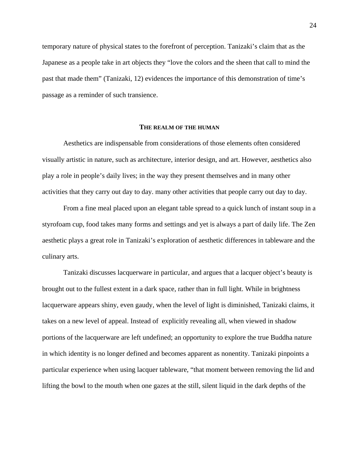temporary nature of physical states to the forefront of perception. Tanizaki's claim that as the Japanese as a people take in art objects they "love the colors and the sheen that call to mind the past that made them" (Tanizaki, 12) evidences the importance of this demonstration of time's passage as a reminder of such transience.

## **THE REALM OF THE HUMAN**

 Aesthetics are indispensable from considerations of those elements often considered visually artistic in nature, such as architecture, interior design, and art. However, aesthetics also play a role in people's daily lives; in the way they present themselves and in many other activities that they carry out day to day. many other activities that people carry out day to day.

 From a fine meal placed upon an elegant table spread to a quick lunch of instant soup in a styrofoam cup, food takes many forms and settings and yet is always a part of daily life. The Zen aesthetic plays a great role in Tanizaki's exploration of aesthetic differences in tableware and the culinary arts.

 Tanizaki discusses lacquerware in particular, and argues that a lacquer object's beauty is brought out to the fullest extent in a dark space, rather than in full light. While in brightness lacquerware appears shiny, even gaudy, when the level of light is diminished, Tanizaki claims, it takes on a new level of appeal. Instead of explicitly revealing all, when viewed in shadow portions of the lacquerware are left undefined; an opportunity to explore the true Buddha nature in which identity is no longer defined and becomes apparent as nonentity. Tanizaki pinpoints a particular experience when using lacquer tableware, "that moment between removing the lid and lifting the bowl to the mouth when one gazes at the still, silent liquid in the dark depths of the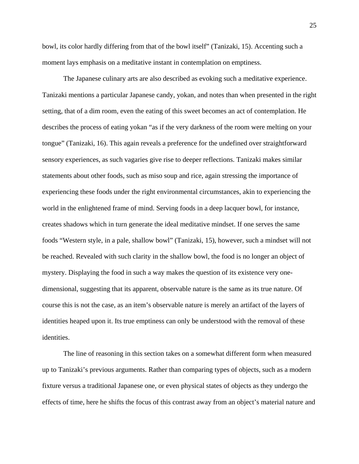bowl, its color hardly differing from that of the bowl itself" (Tanizaki, 15). Accenting such a moment lays emphasis on a meditative instant in contemplation on emptiness.

 The Japanese culinary arts are also described as evoking such a meditative experience. Tanizaki mentions a particular Japanese candy, yokan, and notes than when presented in the right setting, that of a dim room, even the eating of this sweet becomes an act of contemplation. He describes the process of eating yokan "as if the very darkness of the room were melting on your tongue" (Tanizaki, 16). This again reveals a preference for the undefined over straightforward sensory experiences, as such vagaries give rise to deeper reflections. Tanizaki makes similar statements about other foods, such as miso soup and rice, again stressing the importance of experiencing these foods under the right environmental circumstances, akin to experiencing the world in the enlightened frame of mind. Serving foods in a deep lacquer bowl, for instance, creates shadows which in turn generate the ideal meditative mindset. If one serves the same foods "Western style, in a pale, shallow bowl" (Tanizaki, 15), however, such a mindset will not be reached. Revealed with such clarity in the shallow bowl, the food is no longer an object of mystery. Displaying the food in such a way makes the question of its existence very onedimensional, suggesting that its apparent, observable nature is the same as its true nature. Of course this is not the case, as an item's observable nature is merely an artifact of the layers of identities heaped upon it. Its true emptiness can only be understood with the removal of these identities.

 The line of reasoning in this section takes on a somewhat different form when measured up to Tanizaki's previous arguments. Rather than comparing types of objects, such as a modern fixture versus a traditional Japanese one, or even physical states of objects as they undergo the effects of time, here he shifts the focus of this contrast away from an object's material nature and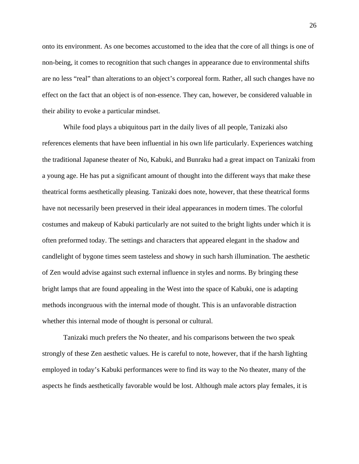onto its environment. As one becomes accustomed to the idea that the core of all things is one of non-being, it comes to recognition that such changes in appearance due to environmental shifts are no less "real" than alterations to an object's corporeal form. Rather, all such changes have no effect on the fact that an object is of non-essence. They can, however, be considered valuable in their ability to evoke a particular mindset.

 While food plays a ubiquitous part in the daily lives of all people, Tanizaki also references elements that have been influential in his own life particularly. Experiences watching the traditional Japanese theater of No, Kabuki, and Bunraku had a great impact on Tanizaki from a young age. He has put a significant amount of thought into the different ways that make these theatrical forms aesthetically pleasing. Tanizaki does note, however, that these theatrical forms have not necessarily been preserved in their ideal appearances in modern times. The colorful costumes and makeup of Kabuki particularly are not suited to the bright lights under which it is often preformed today. The settings and characters that appeared elegant in the shadow and candlelight of bygone times seem tasteless and showy in such harsh illumination. The aesthetic of Zen would advise against such external influence in styles and norms. By bringing these bright lamps that are found appealing in the West into the space of Kabuki, one is adapting methods incongruous with the internal mode of thought. This is an unfavorable distraction whether this internal mode of thought is personal or cultural.

 Tanizaki much prefers the No theater, and his comparisons between the two speak strongly of these Zen aesthetic values. He is careful to note, however, that if the harsh lighting employed in today's Kabuki performances were to find its way to the No theater, many of the aspects he finds aesthetically favorable would be lost. Although male actors play females, it is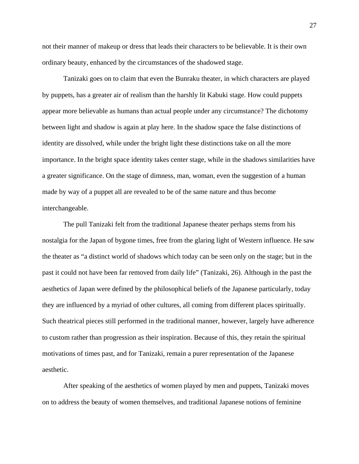not their manner of makeup or dress that leads their characters to be believable. It is their own ordinary beauty, enhanced by the circumstances of the shadowed stage.

 Tanizaki goes on to claim that even the Bunraku theater, in which characters are played by puppets, has a greater air of realism than the harshly lit Kabuki stage. How could puppets appear more believable as humans than actual people under any circumstance? The dichotomy between light and shadow is again at play here. In the shadow space the false distinctions of identity are dissolved, while under the bright light these distinctions take on all the more importance. In the bright space identity takes center stage, while in the shadows similarities have a greater significance. On the stage of dimness, man, woman, even the suggestion of a human made by way of a puppet all are revealed to be of the same nature and thus become interchangeable.

 The pull Tanizaki felt from the traditional Japanese theater perhaps stems from his nostalgia for the Japan of bygone times, free from the glaring light of Western influence. He saw the theater as "a distinct world of shadows which today can be seen only on the stage; but in the past it could not have been far removed from daily life" (Tanizaki, 26). Although in the past the aesthetics of Japan were defined by the philosophical beliefs of the Japanese particularly, today they are influenced by a myriad of other cultures, all coming from different places spiritually. Such theatrical pieces still performed in the traditional manner, however, largely have adherence to custom rather than progression as their inspiration. Because of this, they retain the spiritual motivations of times past, and for Tanizaki, remain a purer representation of the Japanese aesthetic.

After speaking of the aesthetics of women played by men and puppets, Tanizaki moves on to address the beauty of women themselves, and traditional Japanese notions of feminine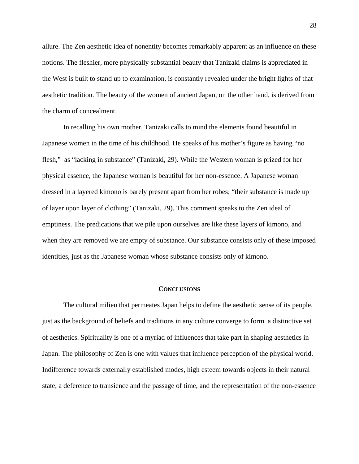allure. The Zen aesthetic idea of nonentity becomes remarkably apparent as an influence on these notions. The fleshier, more physically substantial beauty that Tanizaki claims is appreciated in the West is built to stand up to examination, is constantly revealed under the bright lights of that aesthetic tradition. The beauty of the women of ancient Japan, on the other hand, is derived from the charm of concealment.

 In recalling his own mother, Tanizaki calls to mind the elements found beautiful in Japanese women in the time of his childhood. He speaks of his mother's figure as having "no flesh," as "lacking in substance" (Tanizaki, 29). While the Western woman is prized for her physical essence, the Japanese woman is beautiful for her non-essence. A Japanese woman dressed in a layered kimono is barely present apart from her robes; "their substance is made up of layer upon layer of clothing" (Tanizaki, 29). This comment speaks to the Zen ideal of emptiness. The predications that we pile upon ourselves are like these layers of kimono, and when they are removed we are empty of substance. Our substance consists only of these imposed identities, just as the Japanese woman whose substance consists only of kimono.

#### **CONCLUSIONS**

The cultural milieu that permeates Japan helps to define the aesthetic sense of its people, just as the background of beliefs and traditions in any culture converge to form a distinctive set of aesthetics. Spirituality is one of a myriad of influences that take part in shaping aesthetics in Japan. The philosophy of Zen is one with values that influence perception of the physical world. Indifference towards externally established modes, high esteem towards objects in their natural state, a deference to transience and the passage of time, and the representation of the non-essence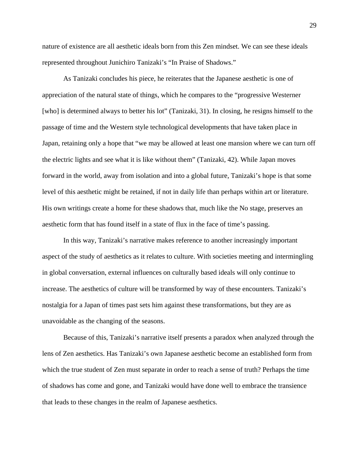nature of existence are all aesthetic ideals born from this Zen mindset. We can see these ideals represented throughout Junichiro Tanizaki's "In Praise of Shadows."

As Tanizaki concludes his piece, he reiterates that the Japanese aesthetic is one of appreciation of the natural state of things, which he compares to the "progressive Westerner [who] is determined always to better his lot" (Tanizaki, 31). In closing, he resigns himself to the passage of time and the Western style technological developments that have taken place in Japan, retaining only a hope that "we may be allowed at least one mansion where we can turn off the electric lights and see what it is like without them" (Tanizaki, 42). While Japan moves forward in the world, away from isolation and into a global future, Tanizaki's hope is that some level of this aesthetic might be retained, if not in daily life than perhaps within art or literature. His own writings create a home for these shadows that, much like the No stage, preserves an aesthetic form that has found itself in a state of flux in the face of time's passing.

 In this way, Tanizaki's narrative makes reference to another increasingly important aspect of the study of aesthetics as it relates to culture. With societies meeting and intermingling in global conversation, external influences on culturally based ideals will only continue to increase. The aesthetics of culture will be transformed by way of these encounters. Tanizaki's nostalgia for a Japan of times past sets him against these transformations, but they are as unavoidable as the changing of the seasons.

 Because of this, Tanizaki's narrative itself presents a paradox when analyzed through the lens of Zen aesthetics. Has Tanizaki's own Japanese aesthetic become an established form from which the true student of Zen must separate in order to reach a sense of truth? Perhaps the time of shadows has come and gone, and Tanizaki would have done well to embrace the transience that leads to these changes in the realm of Japanese aesthetics.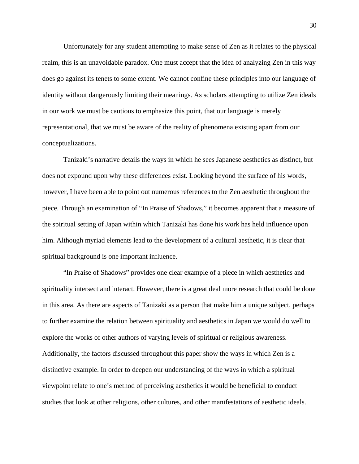Unfortunately for any student attempting to make sense of Zen as it relates to the physical realm, this is an unavoidable paradox. One must accept that the idea of analyzing Zen in this way does go against its tenets to some extent. We cannot confine these principles into our language of identity without dangerously limiting their meanings. As scholars attempting to utilize Zen ideals in our work we must be cautious to emphasize this point, that our language is merely representational, that we must be aware of the reality of phenomena existing apart from our conceptualizations.

 Tanizaki's narrative details the ways in which he sees Japanese aesthetics as distinct, but does not expound upon why these differences exist. Looking beyond the surface of his words, however, I have been able to point out numerous references to the Zen aesthetic throughout the piece. Through an examination of "In Praise of Shadows," it becomes apparent that a measure of the spiritual setting of Japan within which Tanizaki has done his work has held influence upon him. Although myriad elements lead to the development of a cultural aesthetic, it is clear that spiritual background is one important influence.

 "In Praise of Shadows" provides one clear example of a piece in which aesthetics and spirituality intersect and interact. However, there is a great deal more research that could be done in this area. As there are aspects of Tanizaki as a person that make him a unique subject, perhaps to further examine the relation between spirituality and aesthetics in Japan we would do well to explore the works of other authors of varying levels of spiritual or religious awareness. Additionally, the factors discussed throughout this paper show the ways in which Zen is a distinctive example. In order to deepen our understanding of the ways in which a spiritual viewpoint relate to one's method of perceiving aesthetics it would be beneficial to conduct studies that look at other religions, other cultures, and other manifestations of aesthetic ideals.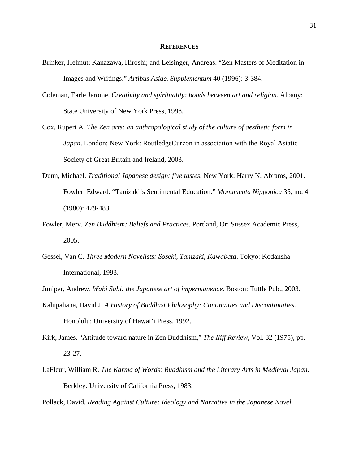### **REFERENCES**

- Brinker, Helmut; Kanazawa, Hiroshi; and Leisinger, Andreas. "Zen Masters of Meditation in Images and Writings." *Artibus Asiae. Supplementum* 40 (1996): 3-384.
- Coleman, Earle Jerome. *Creativity and spirituality: bonds between art and religion*. Albany: State University of New York Press, 1998.
- Cox, Rupert A. *The Zen arts: an anthropological study of the culture of aesthetic form in Japan*. London; New York: RoutledgeCurzon in association with the Royal Asiatic Society of Great Britain and Ireland, 2003.
- Dunn, Michael. *Traditional Japanese design: five tastes*. New York: Harry N. Abrams, 2001. Fowler, Edward. "Tanizaki's Sentimental Education." *Monumenta Nipponica* 35, no. 4 (1980): 479-483.
- Fowler, Merv. *Zen Buddhism: Beliefs and Practices*. Portland, Or: Sussex Academic Press, 2005.
- Gessel, Van C. *Three Modern Novelists: Soseki, Tanizaki, Kawabata*. Tokyo: Kodansha International, 1993.
- Juniper, Andrew. *Wabi Sabi: the Japanese art of impermanence.* Boston: Tuttle Pub., 2003.
- Kalupahana, David J. *A History of Buddhist Philosophy: Continuities and Discontinuities*. Honolulu: University of Hawai'i Press, 1992.
- Kirk, James. "Attitude toward nature in Zen Buddhism," *The Iliff Review*, Vol. 32 (1975), pp. 23-27.
- LaFleur, William R. *The Karma of Words: Buddhism and the Literary Arts in Medieval Japan*. Berkley: University of California Press, 1983.

Pollack, David. *Reading Against Culture: Ideology and Narrative in the Japanese Novel*.